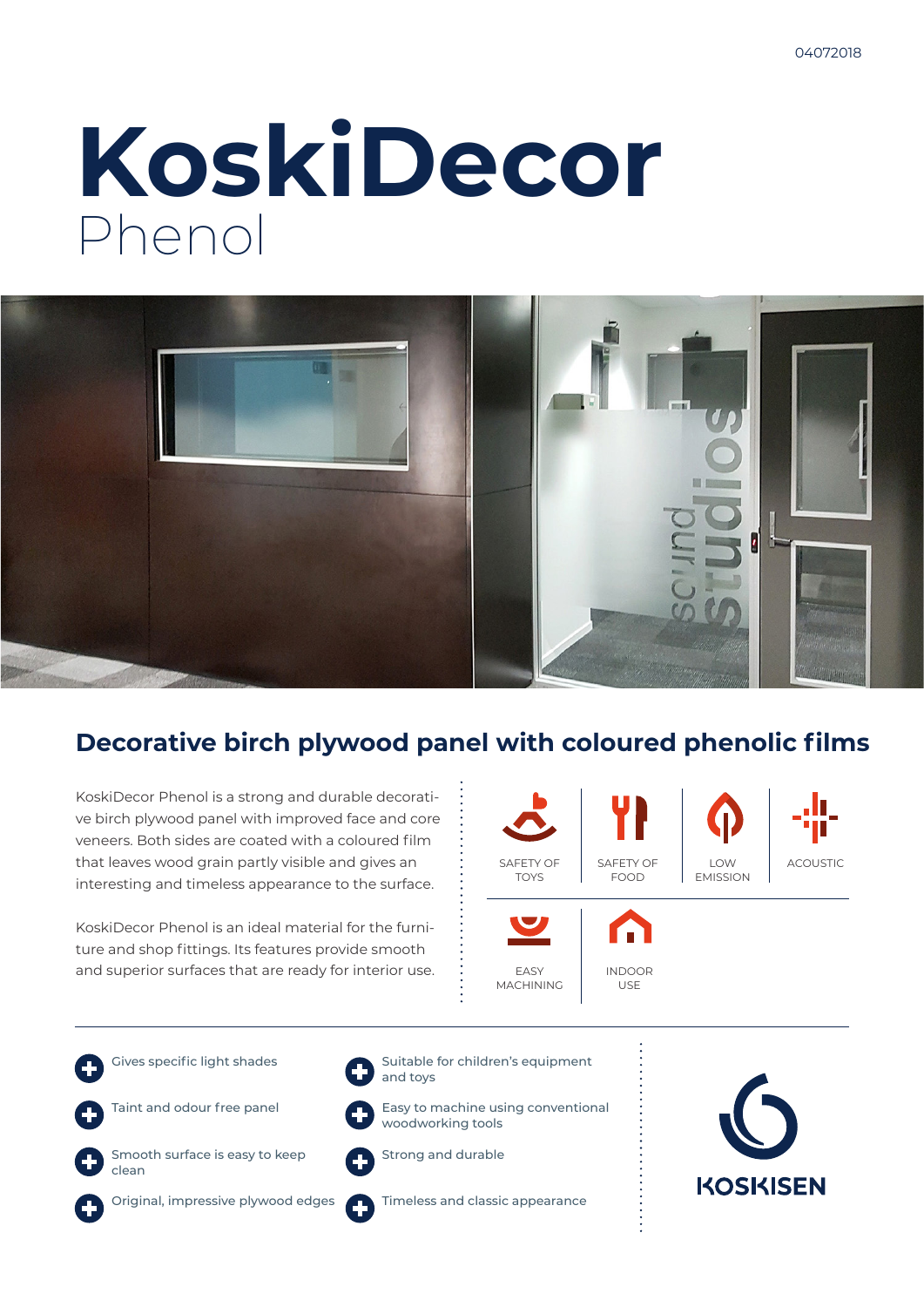# **KoskiDecor** Phenol



## **Decorative birch plywood panel with coloured phenolic films**

KoskiDecor Phenol is a strong and durable decorative birch plywood panel with improved face and core veneers. Both sides are coated with a coloured film that leaves wood grain partly visible and gives an interesting and timeless appearance to the surface.

KoskiDecor Phenol is an ideal material for the furniture and shop fittings. Its features provide smooth and superior surfaces that are ready for interior use.



Gives specific light shades



clean

Original, impressive plywood edges



woodworking tools



and toys

Strong and durable

Timeless and classic appearance

Suitable for children's equipment

Easy to machine using conventional